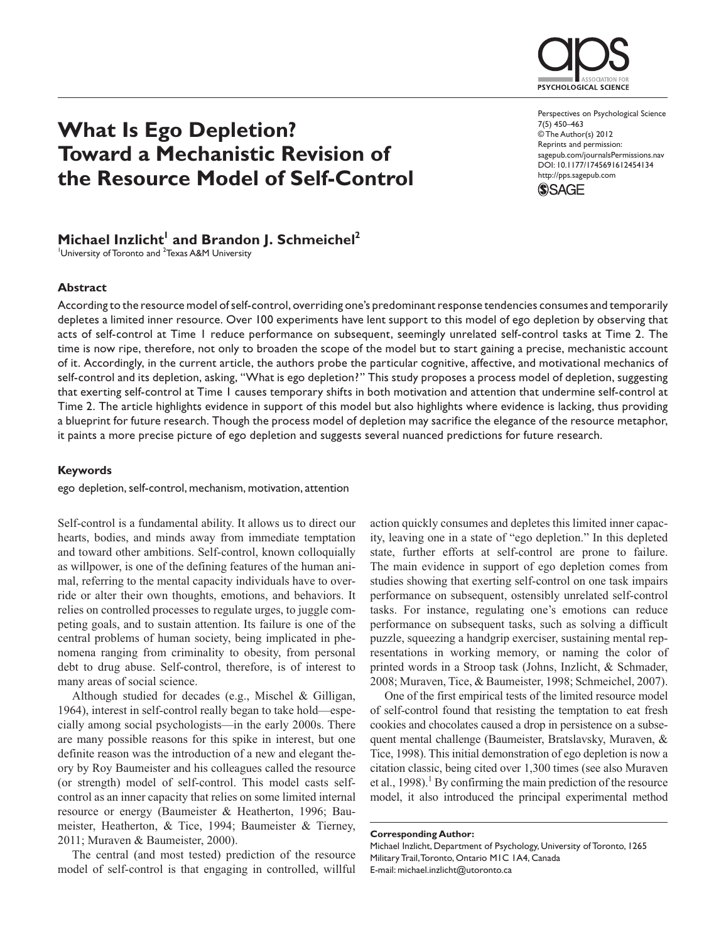

# **What Is Ego Depletion? Toward a Mechanistic Revision of the Resource Model of Self-Control**

Perspectives on Psychological Science 7(5) 450–463 © The Author(s) 2012 Reprints and permission: sagepub.com/journalsPermissions.nav DOI: 10.1177/1745691612454134 http://pps.sagepub.com



# Michael Inzlicht<sup>1</sup> and Brandon J. Schmeichel<sup>2</sup>

<sup>1</sup>University of Toronto and <sup>2</sup>Texas A&M University

### **Abstract**

According to the resource model of self-control, overriding one's predominant response tendencies consumes and temporarily depletes a limited inner resource. Over 100 experiments have lent support to this model of ego depletion by observing that acts of self-control at Time 1 reduce performance on subsequent, seemingly unrelated self-control tasks at Time 2. The time is now ripe, therefore, not only to broaden the scope of the model but to start gaining a precise, mechanistic account of it. Accordingly, in the current article, the authors probe the particular cognitive, affective, and motivational mechanics of self-control and its depletion, asking, "What is ego depletion?" This study proposes a process model of depletion, suggesting that exerting self-control at Time 1 causes temporary shifts in both motivation and attention that undermine self-control at Time 2. The article highlights evidence in support of this model but also highlights where evidence is lacking, thus providing a blueprint for future research. Though the process model of depletion may sacrifice the elegance of the resource metaphor, it paints a more precise picture of ego depletion and suggests several nuanced predictions for future research.

### **Keywords**

ego depletion, self-control, mechanism, motivation, attention

Self-control is a fundamental ability. It allows us to direct our hearts, bodies, and minds away from immediate temptation and toward other ambitions. Self-control, known colloquially as willpower, is one of the defining features of the human animal, referring to the mental capacity individuals have to override or alter their own thoughts, emotions, and behaviors. It relies on controlled processes to regulate urges, to juggle competing goals, and to sustain attention. Its failure is one of the central problems of human society, being implicated in phenomena ranging from criminality to obesity, from personal debt to drug abuse. Self-control, therefore, is of interest to many areas of social science.

Although studied for decades (e.g., Mischel & Gilligan, 1964), interest in self-control really began to take hold—especially among social psychologists—in the early 2000s. There are many possible reasons for this spike in interest, but one definite reason was the introduction of a new and elegant theory by Roy Baumeister and his colleagues called the resource (or strength) model of self-control. This model casts selfcontrol as an inner capacity that relies on some limited internal resource or energy (Baumeister & Heatherton, 1996; Baumeister, Heatherton, & Tice, 1994; Baumeister & Tierney, 2011; Muraven & Baumeister, 2000).

The central (and most tested) prediction of the resource model of self-control is that engaging in controlled, willful action quickly consumes and depletes this limited inner capacity, leaving one in a state of "ego depletion." In this depleted state, further efforts at self-control are prone to failure. The main evidence in support of ego depletion comes from studies showing that exerting self-control on one task impairs performance on subsequent, ostensibly unrelated self-control tasks. For instance, regulating one's emotions can reduce performance on subsequent tasks, such as solving a difficult puzzle, squeezing a handgrip exerciser, sustaining mental representations in working memory, or naming the color of printed words in a Stroop task (Johns, Inzlicht, & Schmader, 2008; Muraven, Tice, & Baumeister, 1998; Schmeichel, 2007).

One of the first empirical tests of the limited resource model of self-control found that resisting the temptation to eat fresh cookies and chocolates caused a drop in persistence on a subsequent mental challenge (Baumeister, Bratslavsky, Muraven, & Tice, 1998). This initial demonstration of ego depletion is now a citation classic, being cited over 1,300 times (see also Muraven et al., 1998).<sup>1</sup> By confirming the main prediction of the resource model, it also introduced the principal experimental method

#### **Corresponding Author:**

Michael Inzlicht, Department of Psychology, University of Toronto, 1265 Military Trail, Toronto, Ontario M1C 1A4, Canada E-mail: michael.inzlicht@utoronto.ca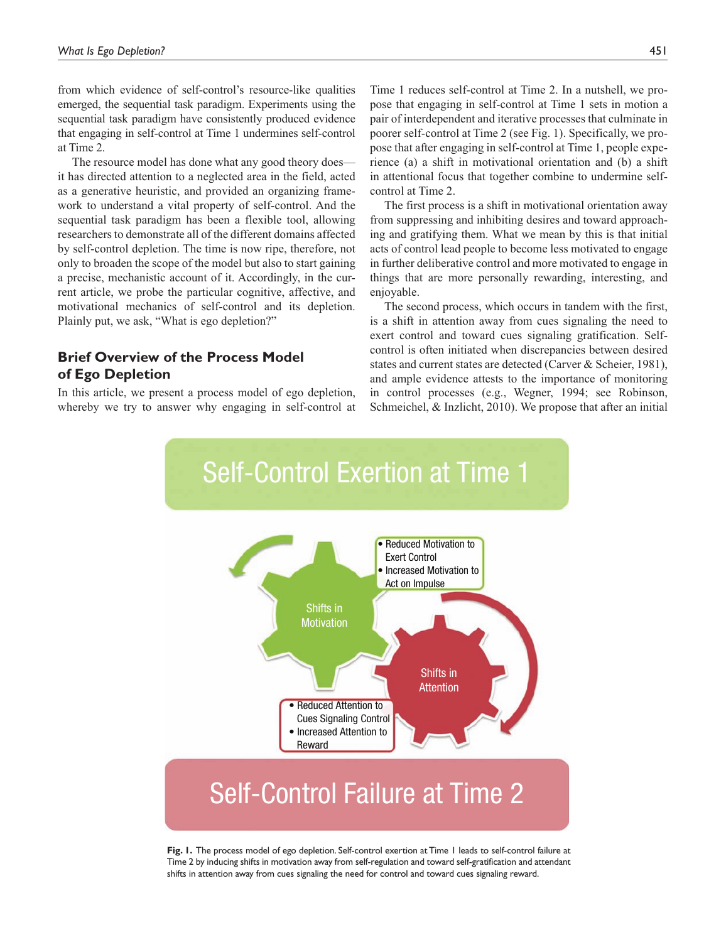from which evidence of self-control's resource-like qualities emerged, the sequential task paradigm. Experiments using the sequential task paradigm have consistently produced evidence that engaging in self-control at Time 1 undermines self-control at Time 2.

The resource model has done what any good theory does it has directed attention to a neglected area in the field, acted as a generative heuristic, and provided an organizing framework to understand a vital property of self-control. And the sequential task paradigm has been a flexible tool, allowing researchers to demonstrate all of the different domains affected by self-control depletion. The time is now ripe, therefore, not only to broaden the scope of the model but also to start gaining a precise, mechanistic account of it. Accordingly, in the current article, we probe the particular cognitive, affective, and motivational mechanics of self-control and its depletion. Plainly put, we ask, "What is ego depletion?"

# **Brief Overview of the Process Model of Ego Depletion**

In this article, we present a process model of ego depletion, whereby we try to answer why engaging in self-control at Time 1 reduces self-control at Time 2. In a nutshell, we propose that engaging in self-control at Time 1 sets in motion a pair of interdependent and iterative processes that culminate in poorer self-control at Time 2 (see Fig. 1). Specifically, we propose that after engaging in self-control at Time 1, people experience (a) a shift in motivational orientation and (b) a shift in attentional focus that together combine to undermine selfcontrol at Time 2.

The first process is a shift in motivational orientation away from suppressing and inhibiting desires and toward approaching and gratifying them. What we mean by this is that initial acts of control lead people to become less motivated to engage in further deliberative control and more motivated to engage in things that are more personally rewarding, interesting, and enjoyable.

The second process, which occurs in tandem with the first, is a shift in attention away from cues signaling the need to exert control and toward cues signaling gratification. Selfcontrol is often initiated when discrepancies between desired states and current states are detected (Carver & Scheier, 1981), and ample evidence attests to the importance of monitoring in control processes (e.g., Wegner, 1994; see Robinson, Schmeichel, & Inzlicht, 2010). We propose that after an initial



**Fig. 1.** The process model of ego depletion. Self-control exertion at Time 1 leads to self-control failure at Time 2 by inducing shifts in motivation away from self-regulation and toward self-gratification and attendant shifts in attention away from cues signaling the need for control and toward cues signaling reward.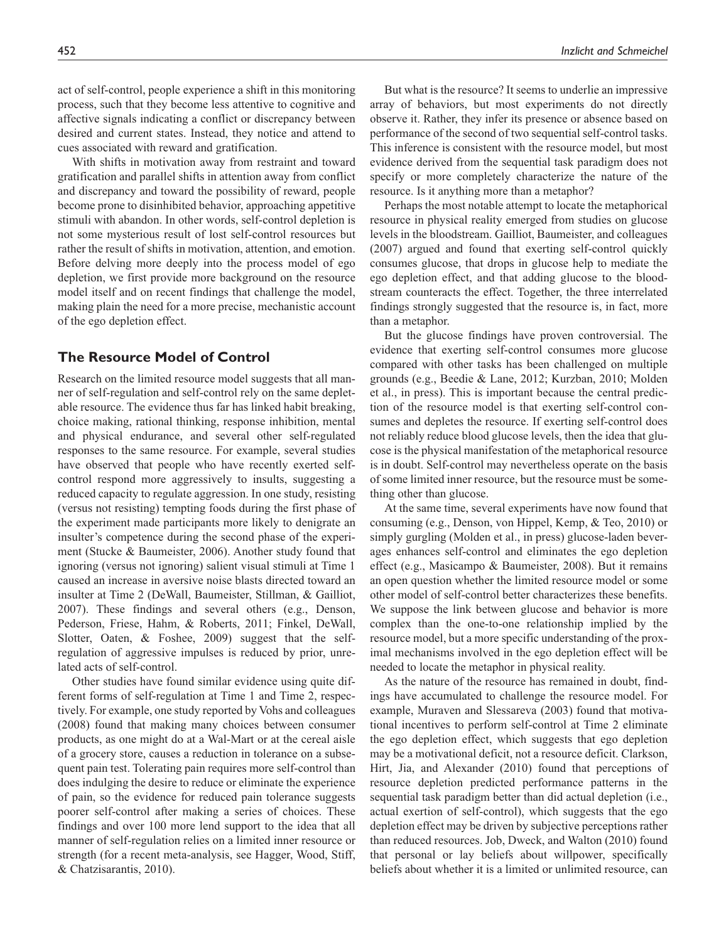act of self-control, people experience a shift in this monitoring process, such that they become less attentive to cognitive and affective signals indicating a conflict or discrepancy between desired and current states. Instead, they notice and attend to cues associated with reward and gratification.

With shifts in motivation away from restraint and toward gratification and parallel shifts in attention away from conflict and discrepancy and toward the possibility of reward, people become prone to disinhibited behavior, approaching appetitive stimuli with abandon. In other words, self-control depletion is not some mysterious result of lost self-control resources but rather the result of shifts in motivation, attention, and emotion. Before delving more deeply into the process model of ego depletion, we first provide more background on the resource model itself and on recent findings that challenge the model, making plain the need for a more precise, mechanistic account of the ego depletion effect.

### **The Resource Model of Control**

Research on the limited resource model suggests that all manner of self-regulation and self-control rely on the same depletable resource. The evidence thus far has linked habit breaking, choice making, rational thinking, response inhibition, mental and physical endurance, and several other self-regulated responses to the same resource. For example, several studies have observed that people who have recently exerted selfcontrol respond more aggressively to insults, suggesting a reduced capacity to regulate aggression. In one study, resisting (versus not resisting) tempting foods during the first phase of the experiment made participants more likely to denigrate an insulter's competence during the second phase of the experiment (Stucke & Baumeister, 2006). Another study found that ignoring (versus not ignoring) salient visual stimuli at Time 1 caused an increase in aversive noise blasts directed toward an insulter at Time 2 (DeWall, Baumeister, Stillman, & Gailliot, 2007). These findings and several others (e.g., Denson, Pederson, Friese, Hahm, & Roberts, 2011; Finkel, DeWall, Slotter, Oaten, & Foshee, 2009) suggest that the selfregulation of aggressive impulses is reduced by prior, unrelated acts of self-control.

Other studies have found similar evidence using quite different forms of self-regulation at Time 1 and Time 2, respectively. For example, one study reported by Vohs and colleagues (2008) found that making many choices between consumer products, as one might do at a Wal-Mart or at the cereal aisle of a grocery store, causes a reduction in tolerance on a subsequent pain test. Tolerating pain requires more self-control than does indulging the desire to reduce or eliminate the experience of pain, so the evidence for reduced pain tolerance suggests poorer self-control after making a series of choices. These findings and over 100 more lend support to the idea that all manner of self-regulation relies on a limited inner resource or strength (for a recent meta-analysis, see Hagger, Wood, Stiff, & Chatzisarantis, 2010).

But what is the resource? It seems to underlie an impressive array of behaviors, but most experiments do not directly observe it. Rather, they infer its presence or absence based on performance of the second of two sequential self-control tasks. This inference is consistent with the resource model, but most evidence derived from the sequential task paradigm does not specify or more completely characterize the nature of the resource. Is it anything more than a metaphor?

Perhaps the most notable attempt to locate the metaphorical resource in physical reality emerged from studies on glucose levels in the bloodstream. Gailliot, Baumeister, and colleagues (2007) argued and found that exerting self-control quickly consumes glucose, that drops in glucose help to mediate the ego depletion effect, and that adding glucose to the bloodstream counteracts the effect. Together, the three interrelated findings strongly suggested that the resource is, in fact, more than a metaphor.

But the glucose findings have proven controversial. The evidence that exerting self-control consumes more glucose compared with other tasks has been challenged on multiple grounds (e.g., Beedie & Lane, 2012; Kurzban, 2010; Molden et al., in press). This is important because the central prediction of the resource model is that exerting self-control consumes and depletes the resource. If exerting self-control does not reliably reduce blood glucose levels, then the idea that glucose is the physical manifestation of the metaphorical resource is in doubt. Self-control may nevertheless operate on the basis of some limited inner resource, but the resource must be something other than glucose.

At the same time, several experiments have now found that consuming (e.g., Denson, von Hippel, Kemp, & Teo, 2010) or simply gurgling (Molden et al., in press) glucose-laden beverages enhances self-control and eliminates the ego depletion effect (e.g., Masicampo & Baumeister, 2008). But it remains an open question whether the limited resource model or some other model of self-control better characterizes these benefits. We suppose the link between glucose and behavior is more complex than the one-to-one relationship implied by the resource model, but a more specific understanding of the proximal mechanisms involved in the ego depletion effect will be needed to locate the metaphor in physical reality.

As the nature of the resource has remained in doubt, findings have accumulated to challenge the resource model. For example, Muraven and Slessareva (2003) found that motivational incentives to perform self-control at Time 2 eliminate the ego depletion effect, which suggests that ego depletion may be a motivational deficit, not a resource deficit. Clarkson, Hirt, Jia, and Alexander (2010) found that perceptions of resource depletion predicted performance patterns in the sequential task paradigm better than did actual depletion (i.e., actual exertion of self-control), which suggests that the ego depletion effect may be driven by subjective perceptions rather than reduced resources. Job, Dweck, and Walton (2010) found that personal or lay beliefs about willpower, specifically beliefs about whether it is a limited or unlimited resource, can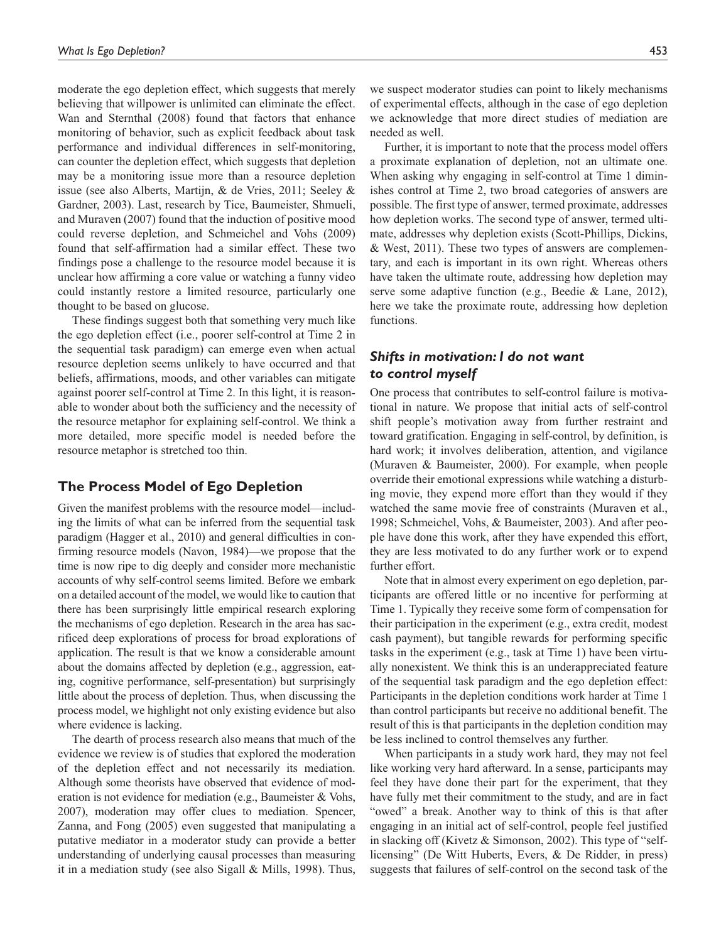moderate the ego depletion effect, which suggests that merely believing that willpower is unlimited can eliminate the effect. Wan and Sternthal (2008) found that factors that enhance monitoring of behavior, such as explicit feedback about task performance and individual differences in self-monitoring, can counter the depletion effect, which suggests that depletion may be a monitoring issue more than a resource depletion issue (see also Alberts, Martijn, & de Vries, 2011; Seeley & Gardner, 2003). Last, research by Tice, Baumeister, Shmueli, and Muraven (2007) found that the induction of positive mood could reverse depletion, and Schmeichel and Vohs (2009) found that self-affirmation had a similar effect. These two findings pose a challenge to the resource model because it is unclear how affirming a core value or watching a funny video could instantly restore a limited resource, particularly one thought to be based on glucose.

These findings suggest both that something very much like the ego depletion effect (i.e., poorer self-control at Time 2 in the sequential task paradigm) can emerge even when actual resource depletion seems unlikely to have occurred and that beliefs, affirmations, moods, and other variables can mitigate against poorer self-control at Time 2. In this light, it is reasonable to wonder about both the sufficiency and the necessity of the resource metaphor for explaining self-control. We think a more detailed, more specific model is needed before the resource metaphor is stretched too thin.

### **The Process Model of Ego Depletion**

Given the manifest problems with the resource model—including the limits of what can be inferred from the sequential task paradigm (Hagger et al., 2010) and general difficulties in confirming resource models (Navon, 1984)—we propose that the time is now ripe to dig deeply and consider more mechanistic accounts of why self-control seems limited. Before we embark on a detailed account of the model, we would like to caution that there has been surprisingly little empirical research exploring the mechanisms of ego depletion. Research in the area has sacrificed deep explorations of process for broad explorations of application. The result is that we know a considerable amount about the domains affected by depletion (e.g., aggression, eating, cognitive performance, self-presentation) but surprisingly little about the process of depletion. Thus, when discussing the process model, we highlight not only existing evidence but also where evidence is lacking.

The dearth of process research also means that much of the evidence we review is of studies that explored the moderation of the depletion effect and not necessarily its mediation. Although some theorists have observed that evidence of moderation is not evidence for mediation (e.g., Baumeister & Vohs, 2007), moderation may offer clues to mediation. Spencer, Zanna, and Fong (2005) even suggested that manipulating a putative mediator in a moderator study can provide a better understanding of underlying causal processes than measuring it in a mediation study (see also Sigall & Mills, 1998). Thus,

we suspect moderator studies can point to likely mechanisms of experimental effects, although in the case of ego depletion we acknowledge that more direct studies of mediation are needed as well.

Further, it is important to note that the process model offers a proximate explanation of depletion, not an ultimate one. When asking why engaging in self-control at Time 1 diminishes control at Time 2, two broad categories of answers are possible. The first type of answer, termed proximate, addresses how depletion works. The second type of answer, termed ultimate, addresses why depletion exists (Scott-Phillips, Dickins, & West, 2011). These two types of answers are complementary, and each is important in its own right. Whereas others have taken the ultimate route, addressing how depletion may serve some adaptive function (e.g., Beedie & Lane, 2012), here we take the proximate route, addressing how depletion functions.

# *Shifts in motivation: I do not want to control myself*

One process that contributes to self-control failure is motivational in nature. We propose that initial acts of self-control shift people's motivation away from further restraint and toward gratification. Engaging in self-control, by definition, is hard work; it involves deliberation, attention, and vigilance (Muraven & Baumeister, 2000). For example, when people override their emotional expressions while watching a disturbing movie, they expend more effort than they would if they watched the same movie free of constraints (Muraven et al., 1998; Schmeichel, Vohs, & Baumeister, 2003). And after people have done this work, after they have expended this effort, they are less motivated to do any further work or to expend further effort.

Note that in almost every experiment on ego depletion, participants are offered little or no incentive for performing at Time 1. Typically they receive some form of compensation for their participation in the experiment (e.g., extra credit, modest cash payment), but tangible rewards for performing specific tasks in the experiment (e.g., task at Time 1) have been virtually nonexistent. We think this is an underappreciated feature of the sequential task paradigm and the ego depletion effect: Participants in the depletion conditions work harder at Time 1 than control participants but receive no additional benefit. The result of this is that participants in the depletion condition may be less inclined to control themselves any further.

When participants in a study work hard, they may not feel like working very hard afterward. In a sense, participants may feel they have done their part for the experiment, that they have fully met their commitment to the study, and are in fact "owed" a break. Another way to think of this is that after engaging in an initial act of self-control, people feel justified in slacking off (Kivetz & Simonson, 2002). This type of "selflicensing" (De Witt Huberts, Evers, & De Ridder, in press) suggests that failures of self-control on the second task of the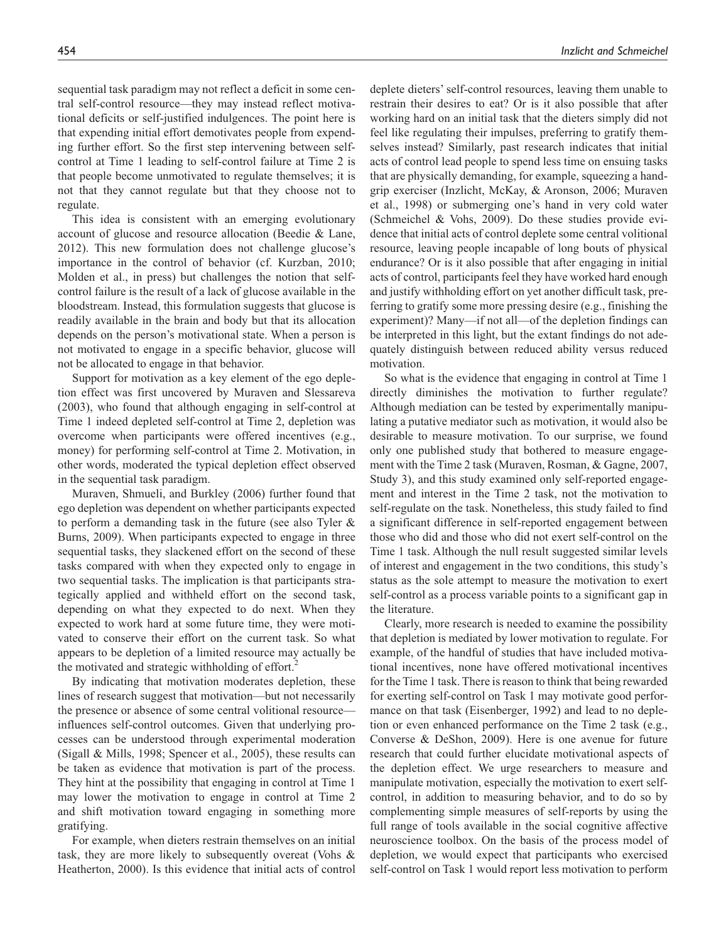sequential task paradigm may not reflect a deficit in some central self-control resource—they may instead reflect motivational deficits or self-justified indulgences. The point here is that expending initial effort demotivates people from expending further effort. So the first step intervening between selfcontrol at Time 1 leading to self-control failure at Time 2 is that people become unmotivated to regulate themselves; it is not that they cannot regulate but that they choose not to regulate.

This idea is consistent with an emerging evolutionary account of glucose and resource allocation (Beedie & Lane, 2012). This new formulation does not challenge glucose's importance in the control of behavior (cf. Kurzban, 2010; Molden et al., in press) but challenges the notion that selfcontrol failure is the result of a lack of glucose available in the bloodstream. Instead, this formulation suggests that glucose is readily available in the brain and body but that its allocation depends on the person's motivational state. When a person is not motivated to engage in a specific behavior, glucose will not be allocated to engage in that behavior.

Support for motivation as a key element of the ego depletion effect was first uncovered by Muraven and Slessareva (2003), who found that although engaging in self-control at Time 1 indeed depleted self-control at Time 2, depletion was overcome when participants were offered incentives (e.g., money) for performing self-control at Time 2. Motivation, in other words, moderated the typical depletion effect observed in the sequential task paradigm.

Muraven, Shmueli, and Burkley (2006) further found that ego depletion was dependent on whether participants expected to perform a demanding task in the future (see also Tyler & Burns, 2009). When participants expected to engage in three sequential tasks, they slackened effort on the second of these tasks compared with when they expected only to engage in two sequential tasks. The implication is that participants strategically applied and withheld effort on the second task, depending on what they expected to do next. When they expected to work hard at some future time, they were motivated to conserve their effort on the current task. So what appears to be depletion of a limited resource may actually be the motivated and strategic withholding of effort.<sup>2</sup>

By indicating that motivation moderates depletion, these lines of research suggest that motivation—but not necessarily the presence or absence of some central volitional resource influences self-control outcomes. Given that underlying processes can be understood through experimental moderation (Sigall & Mills, 1998; Spencer et al., 2005), these results can be taken as evidence that motivation is part of the process. They hint at the possibility that engaging in control at Time 1 may lower the motivation to engage in control at Time 2 and shift motivation toward engaging in something more gratifying.

For example, when dieters restrain themselves on an initial task, they are more likely to subsequently overeat (Vohs & Heatherton, 2000). Is this evidence that initial acts of control deplete dieters' self-control resources, leaving them unable to restrain their desires to eat? Or is it also possible that after working hard on an initial task that the dieters simply did not feel like regulating their impulses, preferring to gratify themselves instead? Similarly, past research indicates that initial acts of control lead people to spend less time on ensuing tasks that are physically demanding, for example, squeezing a handgrip exerciser (Inzlicht, McKay, & Aronson, 2006; Muraven et al., 1998) or submerging one's hand in very cold water (Schmeichel & Vohs, 2009). Do these studies provide evidence that initial acts of control deplete some central volitional resource, leaving people incapable of long bouts of physical endurance? Or is it also possible that after engaging in initial acts of control, participants feel they have worked hard enough and justify withholding effort on yet another difficult task, preferring to gratify some more pressing desire (e.g., finishing the experiment)? Many—if not all—of the depletion findings can be interpreted in this light, but the extant findings do not adequately distinguish between reduced ability versus reduced motivation.

So what is the evidence that engaging in control at Time 1 directly diminishes the motivation to further regulate? Although mediation can be tested by experimentally manipulating a putative mediator such as motivation, it would also be desirable to measure motivation. To our surprise, we found only one published study that bothered to measure engagement with the Time 2 task (Muraven, Rosman, & Gagne, 2007, Study 3), and this study examined only self-reported engagement and interest in the Time 2 task, not the motivation to self-regulate on the task. Nonetheless, this study failed to find a significant difference in self-reported engagement between those who did and those who did not exert self-control on the Time 1 task. Although the null result suggested similar levels of interest and engagement in the two conditions, this study's status as the sole attempt to measure the motivation to exert self-control as a process variable points to a significant gap in the literature.

Clearly, more research is needed to examine the possibility that depletion is mediated by lower motivation to regulate. For example, of the handful of studies that have included motivational incentives, none have offered motivational incentives for the Time 1 task. There is reason to think that being rewarded for exerting self-control on Task 1 may motivate good performance on that task (Eisenberger, 1992) and lead to no depletion or even enhanced performance on the Time 2 task (e.g., Converse & DeShon, 2009). Here is one avenue for future research that could further elucidate motivational aspects of the depletion effect. We urge researchers to measure and manipulate motivation, especially the motivation to exert selfcontrol, in addition to measuring behavior, and to do so by complementing simple measures of self-reports by using the full range of tools available in the social cognitive affective neuroscience toolbox. On the basis of the process model of depletion, we would expect that participants who exercised self-control on Task 1 would report less motivation to perform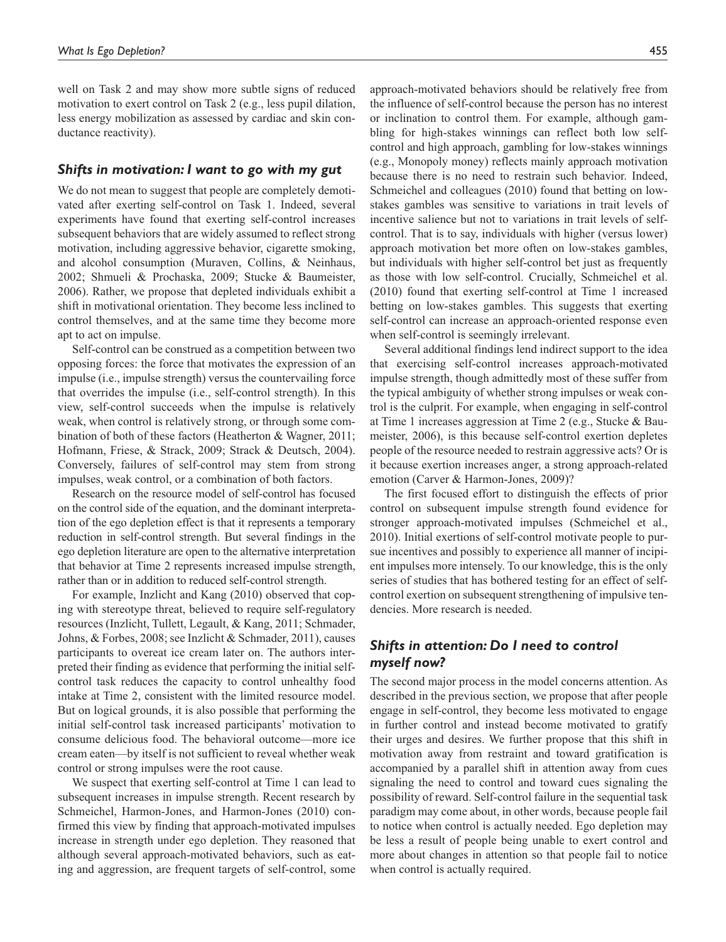well on Task 2 and may show more subtle signs of reduced motivation to exert control on Task 2 (e.g., less pupil dilation, less energy mobilization as assessed by cardiac and skin conductance reactivity).

# *Shifts in motivation: I want to go with my gut*

We do not mean to suggest that people are completely demotivated after exerting self-control on Task 1. Indeed, several experiments have found that exerting self-control increases subsequent behaviors that are widely assumed to reflect strong motivation, including aggressive behavior, cigarette smoking, and alcohol consumption (Muraven, Collins, & Neinhaus, 2002; Shmueli & Prochaska, 2009; Stucke & Baumeister, 2006). Rather, we propose that depleted individuals exhibit a shift in motivational orientation. They become less inclined to control themselves, and at the same time they become more apt to act on impulse.

Self-control can be construed as a competition between two opposing forces: the force that motivates the expression of an impulse (i.e., impulse strength) versus the countervailing force that overrides the impulse (i.e., self-control strength). In this view, self-control succeeds when the impulse is relatively weak, when control is relatively strong, or through some combination of both of these factors (Heatherton & Wagner, 2011; Hofmann, Friese, & Strack, 2009; Strack & Deutsch, 2004). Conversely, failures of self-control may stem from strong impulses, weak control, or a combination of both factors.

Research on the resource model of self-control has focused on the control side of the equation, and the dominant interpretation of the ego depletion effect is that it represents a temporary reduction in self-control strength. But several findings in the ego depletion literature are open to the alternative interpretation that behavior at Time 2 represents increased impulse strength, rather than or in addition to reduced self-control strength.

For example, Inzlicht and Kang (2010) observed that coping with stereotype threat, believed to require self-regulatory resources (Inzlicht, Tullett, Legault, & Kang, 2011; Schmader, Johns, & Forbes, 2008; see Inzlicht & Schmader, 2011), causes participants to overeat ice cream later on. The authors interpreted their finding as evidence that performing the initial selfcontrol task reduces the capacity to control unhealthy food intake at Time 2, consistent with the limited resource model. But on logical grounds, it is also possible that performing the initial self-control task increased participants' motivation to consume delicious food. The behavioral outcome—more ice cream eaten—by itself is not sufficient to reveal whether weak control or strong impulses were the root cause.

We suspect that exerting self-control at Time 1 can lead to subsequent increases in impulse strength. Recent research by Schmeichel, Harmon-Jones, and Harmon-Jones (2010) confirmed this view by finding that approach-motivated impulses increase in strength under ego depletion. They reasoned that although several approach-motivated behaviors, such as eating and aggression, are frequent targets of self-control, some

approach-motivated behaviors should be relatively free from the influence of self-control because the person has no interest or inclination to control them. For example, although gambling for high-stakes winnings can reflect both low selfcontrol and high approach, gambling for low-stakes winnings (e.g., Monopoly money) reflects mainly approach motivation because there is no need to restrain such behavior. Indeed, Schmeichel and colleagues (2010) found that betting on lowstakes gambles was sensitive to variations in trait levels of incentive salience but not to variations in trait levels of selfcontrol. That is to say, individuals with higher (versus lower) approach motivation bet more often on low-stakes gambles, but individuals with higher self-control bet just as frequently as those with low self-control. Crucially, Schmeichel et al. (2010) found that exerting self-control at Time 1 increased betting on low-stakes gambles. This suggests that exerting self-control can increase an approach-oriented response even when self-control is seemingly irrelevant.

Several additional findings lend indirect support to the idea that exercising self-control increases approach-motivated impulse strength, though admittedly most of these suffer from the typical ambiguity of whether strong impulses or weak control is the culprit. For example, when engaging in self-control at Time 1 increases aggression at Time 2 (e.g., Stucke & Baumeister, 2006), is this because self-control exertion depletes people of the resource needed to restrain aggressive acts? Or is it because exertion increases anger, a strong approach-related emotion (Carver & Harmon-Jones, 2009)?

The first focused effort to distinguish the effects of prior control on subsequent impulse strength found evidence for stronger approach-motivated impulses (Schmeichel et al., 2010). Initial exertions of self-control motivate people to pursue incentives and possibly to experience all manner of incipient impulses more intensely. To our knowledge, this is the only series of studies that has bothered testing for an effect of selfcontrol exertion on subsequent strengthening of impulsive tendencies. More research is needed.

# *Shifts in attention: Do I need to control myself now?*

The second major process in the model concerns attention. As described in the previous section, we propose that after people engage in self-control, they become less motivated to engage in further control and instead become motivated to gratify their urges and desires. We further propose that this shift in motivation away from restraint and toward gratification is accompanied by a parallel shift in attention away from cues signaling the need to control and toward cues signaling the possibility of reward. Self-control failure in the sequential task paradigm may come about, in other words, because people fail to notice when control is actually needed. Ego depletion may be less a result of people being unable to exert control and more about changes in attention so that people fail to notice when control is actually required.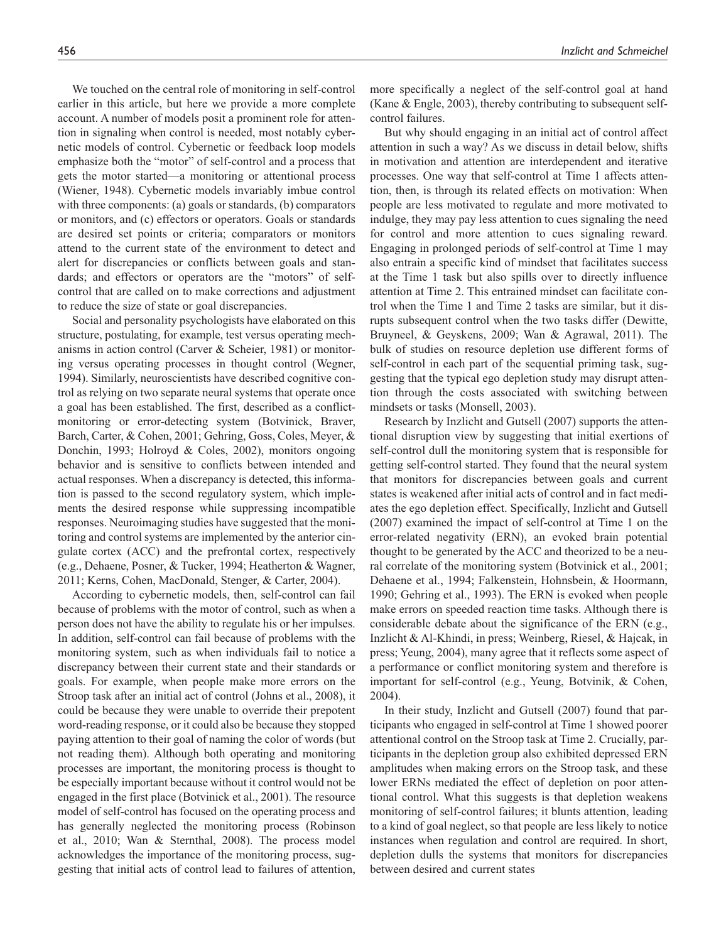We touched on the central role of monitoring in self-control earlier in this article, but here we provide a more complete account. A number of models posit a prominent role for attention in signaling when control is needed, most notably cybernetic models of control. Cybernetic or feedback loop models emphasize both the "motor" of self-control and a process that gets the motor started—a monitoring or attentional process (Wiener, 1948). Cybernetic models invariably imbue control with three components: (a) goals or standards, (b) comparators or monitors, and (c) effectors or operators. Goals or standards are desired set points or criteria; comparators or monitors attend to the current state of the environment to detect and alert for discrepancies or conflicts between goals and standards; and effectors or operators are the "motors" of selfcontrol that are called on to make corrections and adjustment to reduce the size of state or goal discrepancies.

Social and personality psychologists have elaborated on this structure, postulating, for example, test versus operating mechanisms in action control (Carver & Scheier, 1981) or monitoring versus operating processes in thought control (Wegner, 1994). Similarly, neuroscientists have described cognitive control as relying on two separate neural systems that operate once a goal has been established. The first, described as a conflictmonitoring or error-detecting system (Botvinick, Braver, Barch, Carter, & Cohen, 2001; Gehring, Goss, Coles, Meyer, & Donchin, 1993; Holroyd & Coles, 2002), monitors ongoing behavior and is sensitive to conflicts between intended and actual responses. When a discrepancy is detected, this information is passed to the second regulatory system, which implements the desired response while suppressing incompatible responses. Neuroimaging studies have suggested that the monitoring and control systems are implemented by the anterior cingulate cortex (ACC) and the prefrontal cortex, respectively (e.g., Dehaene, Posner, & Tucker, 1994; Heatherton & Wagner, 2011; Kerns, Cohen, MacDonald, Stenger, & Carter, 2004).

According to cybernetic models, then, self-control can fail because of problems with the motor of control, such as when a person does not have the ability to regulate his or her impulses. In addition, self-control can fail because of problems with the monitoring system, such as when individuals fail to notice a discrepancy between their current state and their standards or goals. For example, when people make more errors on the Stroop task after an initial act of control (Johns et al., 2008), it could be because they were unable to override their prepotent word-reading response, or it could also be because they stopped paying attention to their goal of naming the color of words (but not reading them). Although both operating and monitoring processes are important, the monitoring process is thought to be especially important because without it control would not be engaged in the first place (Botvinick et al., 2001). The resource model of self-control has focused on the operating process and has generally neglected the monitoring process (Robinson et al., 2010; Wan & Sternthal, 2008). The process model acknowledges the importance of the monitoring process, suggesting that initial acts of control lead to failures of attention,

more specifically a neglect of the self-control goal at hand (Kane & Engle, 2003), thereby contributing to subsequent selfcontrol failures.

But why should engaging in an initial act of control affect attention in such a way? As we discuss in detail below, shifts in motivation and attention are interdependent and iterative processes. One way that self-control at Time 1 affects attention, then, is through its related effects on motivation: When people are less motivated to regulate and more motivated to indulge, they may pay less attention to cues signaling the need for control and more attention to cues signaling reward. Engaging in prolonged periods of self-control at Time 1 may also entrain a specific kind of mindset that facilitates success at the Time 1 task but also spills over to directly influence attention at Time 2. This entrained mindset can facilitate control when the Time 1 and Time 2 tasks are similar, but it disrupts subsequent control when the two tasks differ (Dewitte, Bruyneel, & Geyskens, 2009; Wan & Agrawal, 2011). The bulk of studies on resource depletion use different forms of self-control in each part of the sequential priming task, suggesting that the typical ego depletion study may disrupt attention through the costs associated with switching between mindsets or tasks (Monsell, 2003).

Research by Inzlicht and Gutsell (2007) supports the attentional disruption view by suggesting that initial exertions of self-control dull the monitoring system that is responsible for getting self-control started. They found that the neural system that monitors for discrepancies between goals and current states is weakened after initial acts of control and in fact mediates the ego depletion effect. Specifically, Inzlicht and Gutsell (2007) examined the impact of self-control at Time 1 on the error-related negativity (ERN), an evoked brain potential thought to be generated by the ACC and theorized to be a neural correlate of the monitoring system (Botvinick et al., 2001; Dehaene et al., 1994; Falkenstein, Hohnsbein, & Hoormann, 1990; Gehring et al., 1993). The ERN is evoked when people make errors on speeded reaction time tasks. Although there is considerable debate about the significance of the ERN (e.g., Inzlicht & Al-Khindi, in press; Weinberg, Riesel, & Hajcak, in press; Yeung, 2004), many agree that it reflects some aspect of a performance or conflict monitoring system and therefore is important for self-control (e.g., Yeung, Botvinik, & Cohen, 2004).

In their study, Inzlicht and Gutsell (2007) found that participants who engaged in self-control at Time 1 showed poorer attentional control on the Stroop task at Time 2. Crucially, participants in the depletion group also exhibited depressed ERN amplitudes when making errors on the Stroop task, and these lower ERNs mediated the effect of depletion on poor attentional control. What this suggests is that depletion weakens monitoring of self-control failures; it blunts attention, leading to a kind of goal neglect, so that people are less likely to notice instances when regulation and control are required. In short, depletion dulls the systems that monitors for discrepancies between desired and current states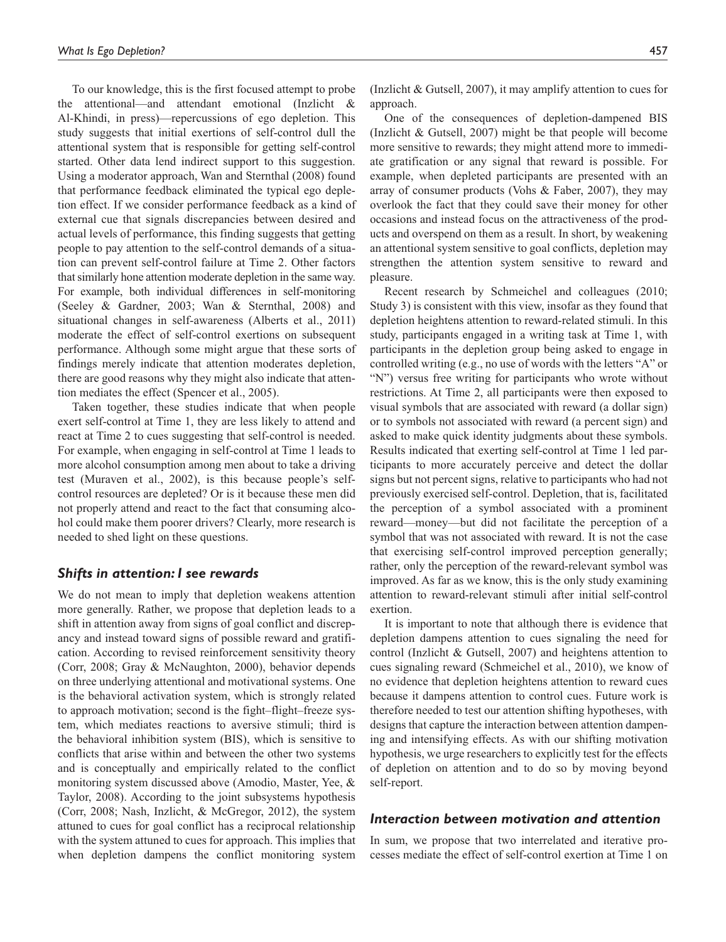To our knowledge, this is the first focused attempt to probe the attentional—and attendant emotional (Inzlicht & Al-Khindi, in press)—repercussions of ego depletion. This study suggests that initial exertions of self-control dull the attentional system that is responsible for getting self-control started. Other data lend indirect support to this suggestion. Using a moderator approach, Wan and Sternthal (2008) found that performance feedback eliminated the typical ego depletion effect. If we consider performance feedback as a kind of external cue that signals discrepancies between desired and actual levels of performance, this finding suggests that getting people to pay attention to the self-control demands of a situation can prevent self-control failure at Time 2. Other factors that similarly hone attention moderate depletion in the same way. For example, both individual differences in self-monitoring (Seeley & Gardner, 2003; Wan & Sternthal, 2008) and situational changes in self-awareness (Alberts et al., 2011) moderate the effect of self-control exertions on subsequent performance. Although some might argue that these sorts of findings merely indicate that attention moderates depletion, there are good reasons why they might also indicate that attention mediates the effect (Spencer et al., 2005).

Taken together, these studies indicate that when people exert self-control at Time 1, they are less likely to attend and react at Time 2 to cues suggesting that self-control is needed. For example, when engaging in self-control at Time 1 leads to more alcohol consumption among men about to take a driving test (Muraven et al., 2002), is this because people's selfcontrol resources are depleted? Or is it because these men did not properly attend and react to the fact that consuming alcohol could make them poorer drivers? Clearly, more research is needed to shed light on these questions.

#### *Shifts in attention: I see rewards*

We do not mean to imply that depletion weakens attention more generally. Rather, we propose that depletion leads to a shift in attention away from signs of goal conflict and discrepancy and instead toward signs of possible reward and gratification. According to revised reinforcement sensitivity theory (Corr, 2008; Gray & McNaughton, 2000), behavior depends on three underlying attentional and motivational systems. One is the behavioral activation system, which is strongly related to approach motivation; second is the fight–flight–freeze system, which mediates reactions to aversive stimuli; third is the behavioral inhibition system (BIS), which is sensitive to conflicts that arise within and between the other two systems and is conceptually and empirically related to the conflict monitoring system discussed above (Amodio, Master, Yee, & Taylor, 2008). According to the joint subsystems hypothesis (Corr, 2008; Nash, Inzlicht, & McGregor, 2012), the system attuned to cues for goal conflict has a reciprocal relationship with the system attuned to cues for approach. This implies that when depletion dampens the conflict monitoring system

(Inzlicht & Gutsell, 2007), it may amplify attention to cues for approach.

One of the consequences of depletion-dampened BIS (Inzlicht & Gutsell, 2007) might be that people will become more sensitive to rewards; they might attend more to immediate gratification or any signal that reward is possible. For example, when depleted participants are presented with an array of consumer products (Vohs & Faber, 2007), they may overlook the fact that they could save their money for other occasions and instead focus on the attractiveness of the products and overspend on them as a result. In short, by weakening an attentional system sensitive to goal conflicts, depletion may strengthen the attention system sensitive to reward and pleasure.

Recent research by Schmeichel and colleagues (2010; Study 3) is consistent with this view, insofar as they found that depletion heightens attention to reward-related stimuli. In this study, participants engaged in a writing task at Time 1, with participants in the depletion group being asked to engage in controlled writing (e.g., no use of words with the letters "A" or "N") versus free writing for participants who wrote without restrictions. At Time 2, all participants were then exposed to visual symbols that are associated with reward (a dollar sign) or to symbols not associated with reward (a percent sign) and asked to make quick identity judgments about these symbols. Results indicated that exerting self-control at Time 1 led participants to more accurately perceive and detect the dollar signs but not percent signs, relative to participants who had not previously exercised self-control. Depletion, that is, facilitated the perception of a symbol associated with a prominent reward—money—but did not facilitate the perception of a symbol that was not associated with reward. It is not the case that exercising self-control improved perception generally; rather, only the perception of the reward-relevant symbol was improved. As far as we know, this is the only study examining attention to reward-relevant stimuli after initial self-control exertion.

It is important to note that although there is evidence that depletion dampens attention to cues signaling the need for control (Inzlicht & Gutsell, 2007) and heightens attention to cues signaling reward (Schmeichel et al., 2010), we know of no evidence that depletion heightens attention to reward cues because it dampens attention to control cues. Future work is therefore needed to test our attention shifting hypotheses, with designs that capture the interaction between attention dampening and intensifying effects. As with our shifting motivation hypothesis, we urge researchers to explicitly test for the effects of depletion on attention and to do so by moving beyond self-report.

#### *Interaction between motivation and attention*

In sum, we propose that two interrelated and iterative processes mediate the effect of self-control exertion at Time 1 on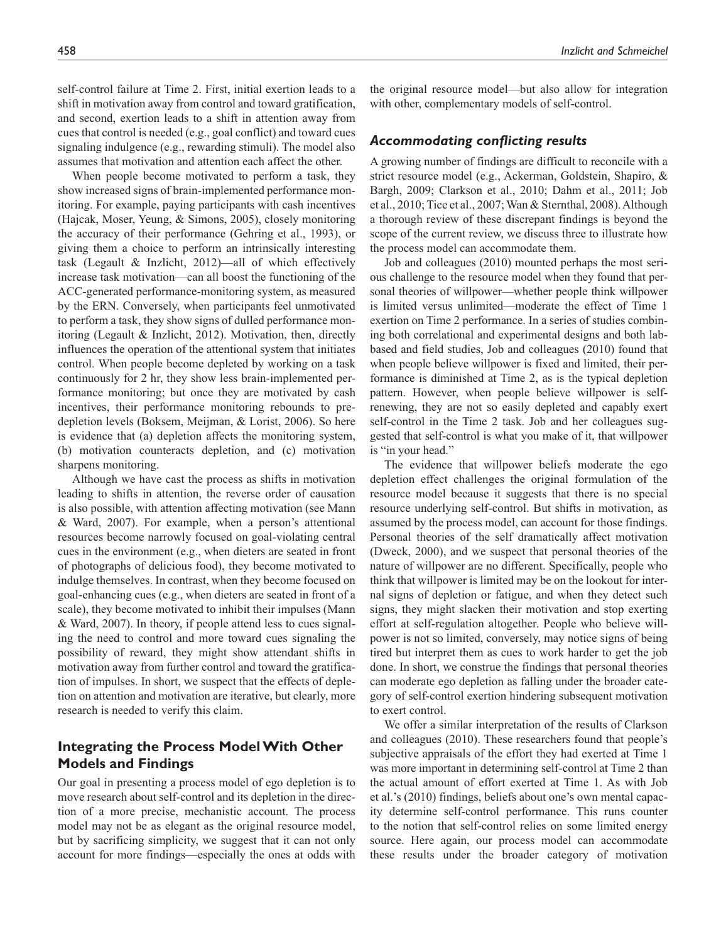When people become motivated to perform a task, they show increased signs of brain-implemented performance monitoring. For example, paying participants with cash incentives (Hajcak, Moser, Yeung, & Simons, 2005), closely monitoring the accuracy of their performance (Gehring et al., 1993), or giving them a choice to perform an intrinsically interesting task (Legault & Inzlicht, 2012)—all of which effectively increase task motivation—can all boost the functioning of the ACC-generated performance-monitoring system, as measured by the ERN. Conversely, when participants feel unmotivated to perform a task, they show signs of dulled performance monitoring (Legault & Inzlicht, 2012). Motivation, then, directly influences the operation of the attentional system that initiates control. When people become depleted by working on a task continuously for 2 hr, they show less brain-implemented performance monitoring; but once they are motivated by cash incentives, their performance monitoring rebounds to predepletion levels (Boksem, Meijman, & Lorist, 2006). So here is evidence that (a) depletion affects the monitoring system, (b) motivation counteracts depletion, and (c) motivation sharpens monitoring.

Although we have cast the process as shifts in motivation leading to shifts in attention, the reverse order of causation is also possible, with attention affecting motivation (see Mann & Ward, 2007). For example, when a person's attentional resources become narrowly focused on goal-violating central cues in the environment (e.g., when dieters are seated in front of photographs of delicious food), they become motivated to indulge themselves. In contrast, when they become focused on goal-enhancing cues (e.g., when dieters are seated in front of a scale), they become motivated to inhibit their impulses (Mann & Ward, 2007). In theory, if people attend less to cues signaling the need to control and more toward cues signaling the possibility of reward, they might show attendant shifts in motivation away from further control and toward the gratification of impulses. In short, we suspect that the effects of depletion on attention and motivation are iterative, but clearly, more research is needed to verify this claim.

# **Integrating the Process Model With Other Models and Findings**

Our goal in presenting a process model of ego depletion is to move research about self-control and its depletion in the direction of a more precise, mechanistic account. The process model may not be as elegant as the original resource model, but by sacrificing simplicity, we suggest that it can not only account for more findings—especially the ones at odds with

the original resource model—but also allow for integration with other, complementary models of self-control.

## *Accommodating conflicting results*

A growing number of findings are difficult to reconcile with a strict resource model (e.g., Ackerman, Goldstein, Shapiro, & Bargh, 2009; Clarkson et al., 2010; Dahm et al., 2011; Job et al., 2010; Tice et al., 2007; Wan & Sternthal, 2008). Although a thorough review of these discrepant findings is beyond the scope of the current review, we discuss three to illustrate how the process model can accommodate them.

Job and colleagues (2010) mounted perhaps the most serious challenge to the resource model when they found that personal theories of willpower—whether people think willpower is limited versus unlimited—moderate the effect of Time 1 exertion on Time 2 performance. In a series of studies combining both correlational and experimental designs and both labbased and field studies, Job and colleagues (2010) found that when people believe willpower is fixed and limited, their performance is diminished at Time 2, as is the typical depletion pattern. However, when people believe willpower is selfrenewing, they are not so easily depleted and capably exert self-control in the Time 2 task. Job and her colleagues suggested that self-control is what you make of it, that willpower is "in your head."

The evidence that willpower beliefs moderate the ego depletion effect challenges the original formulation of the resource model because it suggests that there is no special resource underlying self-control. But shifts in motivation, as assumed by the process model, can account for those findings. Personal theories of the self dramatically affect motivation (Dweck, 2000), and we suspect that personal theories of the nature of willpower are no different. Specifically, people who think that willpower is limited may be on the lookout for internal signs of depletion or fatigue, and when they detect such signs, they might slacken their motivation and stop exerting effort at self-regulation altogether. People who believe willpower is not so limited, conversely, may notice signs of being tired but interpret them as cues to work harder to get the job done. In short, we construe the findings that personal theories can moderate ego depletion as falling under the broader category of self-control exertion hindering subsequent motivation to exert control.

We offer a similar interpretation of the results of Clarkson and colleagues (2010). These researchers found that people's subjective appraisals of the effort they had exerted at Time 1 was more important in determining self-control at Time 2 than the actual amount of effort exerted at Time 1. As with Job et al.'s (2010) findings, beliefs about one's own mental capacity determine self-control performance. This runs counter to the notion that self-control relies on some limited energy source. Here again, our process model can accommodate these results under the broader category of motivation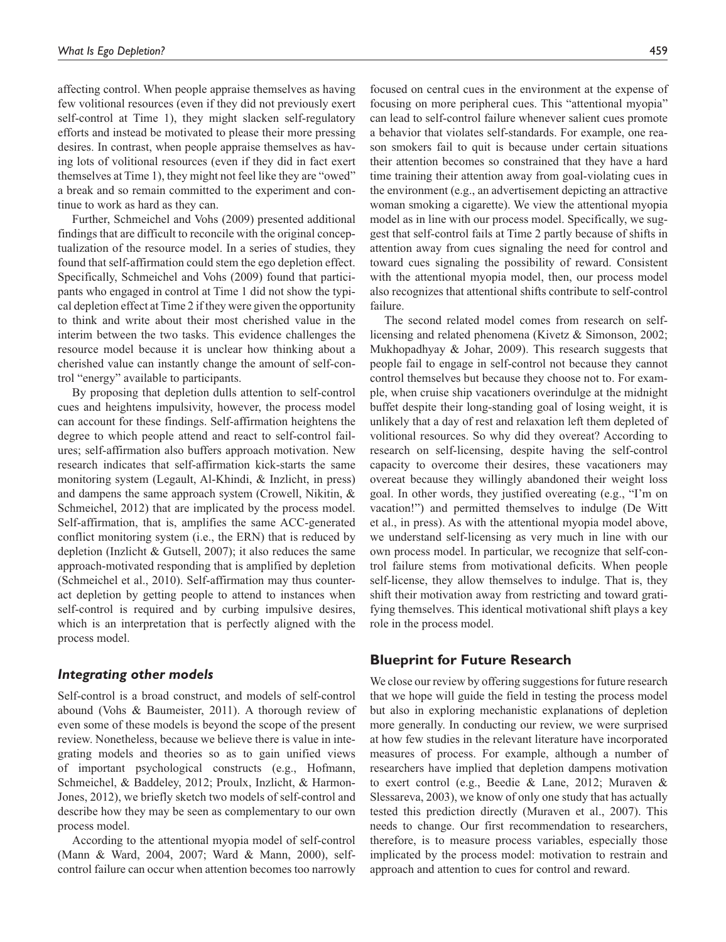affecting control. When people appraise themselves as having few volitional resources (even if they did not previously exert self-control at Time 1), they might slacken self-regulatory efforts and instead be motivated to please their more pressing desires. In contrast, when people appraise themselves as having lots of volitional resources (even if they did in fact exert themselves at Time 1), they might not feel like they are "owed" a break and so remain committed to the experiment and continue to work as hard as they can.

Further, Schmeichel and Vohs (2009) presented additional findings that are difficult to reconcile with the original conceptualization of the resource model. In a series of studies, they found that self-affirmation could stem the ego depletion effect. Specifically, Schmeichel and Vohs (2009) found that participants who engaged in control at Time 1 did not show the typical depletion effect at Time 2 if they were given the opportunity to think and write about their most cherished value in the interim between the two tasks. This evidence challenges the resource model because it is unclear how thinking about a cherished value can instantly change the amount of self-control "energy" available to participants.

By proposing that depletion dulls attention to self-control cues and heightens impulsivity, however, the process model can account for these findings. Self-affirmation heightens the degree to which people attend and react to self-control failures; self-affirmation also buffers approach motivation. New research indicates that self-affirmation kick-starts the same monitoring system (Legault, Al-Khindi, & Inzlicht, in press) and dampens the same approach system (Crowell, Nikitin, & Schmeichel, 2012) that are implicated by the process model. Self-affirmation, that is, amplifies the same ACC-generated conflict monitoring system (i.e., the ERN) that is reduced by depletion (Inzlicht & Gutsell, 2007); it also reduces the same approach-motivated responding that is amplified by depletion (Schmeichel et al., 2010). Self-affirmation may thus counteract depletion by getting people to attend to instances when self-control is required and by curbing impulsive desires, which is an interpretation that is perfectly aligned with the process model.

### *Integrating other models*

Self-control is a broad construct, and models of self-control abound (Vohs & Baumeister, 2011). A thorough review of even some of these models is beyond the scope of the present review. Nonetheless, because we believe there is value in integrating models and theories so as to gain unified views of important psychological constructs (e.g., Hofmann, Schmeichel, & Baddeley, 2012; Proulx, Inzlicht, & Harmon-Jones, 2012), we briefly sketch two models of self-control and describe how they may be seen as complementary to our own process model.

According to the attentional myopia model of self-control (Mann & Ward, 2004, 2007; Ward & Mann, 2000), selfcontrol failure can occur when attention becomes too narrowly

focused on central cues in the environment at the expense of focusing on more peripheral cues. This "attentional myopia" can lead to self-control failure whenever salient cues promote a behavior that violates self-standards. For example, one reason smokers fail to quit is because under certain situations their attention becomes so constrained that they have a hard time training their attention away from goal-violating cues in the environment (e.g., an advertisement depicting an attractive woman smoking a cigarette). We view the attentional myopia model as in line with our process model. Specifically, we suggest that self-control fails at Time 2 partly because of shifts in attention away from cues signaling the need for control and toward cues signaling the possibility of reward. Consistent with the attentional myopia model, then, our process model also recognizes that attentional shifts contribute to self-control failure.

The second related model comes from research on selflicensing and related phenomena (Kivetz & Simonson, 2002; Mukhopadhyay & Johar, 2009). This research suggests that people fail to engage in self-control not because they cannot control themselves but because they choose not to. For example, when cruise ship vacationers overindulge at the midnight buffet despite their long-standing goal of losing weight, it is unlikely that a day of rest and relaxation left them depleted of volitional resources. So why did they overeat? According to research on self-licensing, despite having the self-control capacity to overcome their desires, these vacationers may overeat because they willingly abandoned their weight loss goal. In other words, they justified overeating (e.g., "I'm on vacation!") and permitted themselves to indulge (De Witt et al., in press). As with the attentional myopia model above, we understand self-licensing as very much in line with our own process model. In particular, we recognize that self-control failure stems from motivational deficits. When people self-license, they allow themselves to indulge. That is, they shift their motivation away from restricting and toward gratifying themselves. This identical motivational shift plays a key role in the process model.

### **Blueprint for Future Research**

We close our review by offering suggestions for future research that we hope will guide the field in testing the process model but also in exploring mechanistic explanations of depletion more generally. In conducting our review, we were surprised at how few studies in the relevant literature have incorporated measures of process. For example, although a number of researchers have implied that depletion dampens motivation to exert control (e.g., Beedie & Lane, 2012; Muraven & Slessareva, 2003), we know of only one study that has actually tested this prediction directly (Muraven et al., 2007). This needs to change. Our first recommendation to researchers, therefore, is to measure process variables, especially those implicated by the process model: motivation to restrain and approach and attention to cues for control and reward.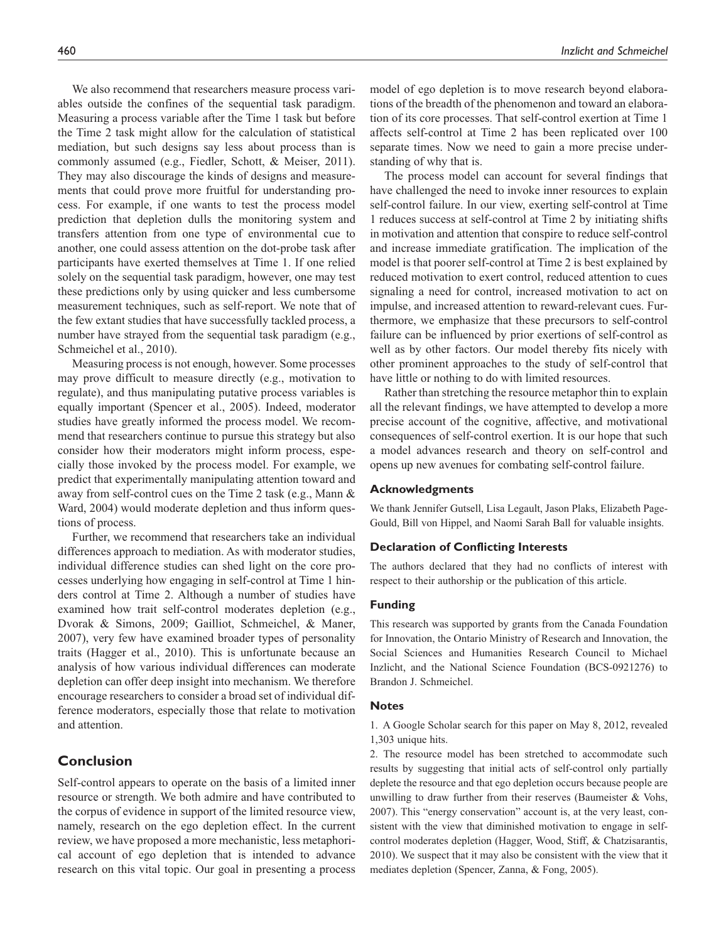We also recommend that researchers measure process variables outside the confines of the sequential task paradigm. Measuring a process variable after the Time 1 task but before the Time 2 task might allow for the calculation of statistical mediation, but such designs say less about process than is commonly assumed (e.g., Fiedler, Schott, & Meiser, 2011). They may also discourage the kinds of designs and measurements that could prove more fruitful for understanding process. For example, if one wants to test the process model prediction that depletion dulls the monitoring system and transfers attention from one type of environmental cue to another, one could assess attention on the dot-probe task after participants have exerted themselves at Time 1. If one relied solely on the sequential task paradigm, however, one may test these predictions only by using quicker and less cumbersome measurement techniques, such as self-report. We note that of the few extant studies that have successfully tackled process, a number have strayed from the sequential task paradigm (e.g., Schmeichel et al., 2010).

Measuring process is not enough, however. Some processes may prove difficult to measure directly (e.g., motivation to regulate), and thus manipulating putative process variables is equally important (Spencer et al., 2005). Indeed, moderator studies have greatly informed the process model. We recommend that researchers continue to pursue this strategy but also consider how their moderators might inform process, especially those invoked by the process model. For example, we predict that experimentally manipulating attention toward and away from self-control cues on the Time 2 task (e.g., Mann & Ward, 2004) would moderate depletion and thus inform questions of process.

Further, we recommend that researchers take an individual differences approach to mediation. As with moderator studies, individual difference studies can shed light on the core processes underlying how engaging in self-control at Time 1 hinders control at Time 2. Although a number of studies have examined how trait self-control moderates depletion (e.g., Dvorak & Simons, 2009; Gailliot, Schmeichel, & Maner, 2007), very few have examined broader types of personality traits (Hagger et al., 2010). This is unfortunate because an analysis of how various individual differences can moderate depletion can offer deep insight into mechanism. We therefore encourage researchers to consider a broad set of individual difference moderators, especially those that relate to motivation and attention.

# **Conclusion**

Self-control appears to operate on the basis of a limited inner resource or strength. We both admire and have contributed to the corpus of evidence in support of the limited resource view, namely, research on the ego depletion effect. In the current review, we have proposed a more mechanistic, less metaphorical account of ego depletion that is intended to advance research on this vital topic. Our goal in presenting a process

model of ego depletion is to move research beyond elaborations of the breadth of the phenomenon and toward an elaboration of its core processes. That self-control exertion at Time 1 affects self-control at Time 2 has been replicated over 100 separate times. Now we need to gain a more precise understanding of why that is.

The process model can account for several findings that have challenged the need to invoke inner resources to explain self-control failure. In our view, exerting self-control at Time 1 reduces success at self-control at Time 2 by initiating shifts in motivation and attention that conspire to reduce self-control and increase immediate gratification. The implication of the model is that poorer self-control at Time 2 is best explained by reduced motivation to exert control, reduced attention to cues signaling a need for control, increased motivation to act on impulse, and increased attention to reward-relevant cues. Furthermore, we emphasize that these precursors to self-control failure can be influenced by prior exertions of self-control as well as by other factors. Our model thereby fits nicely with other prominent approaches to the study of self-control that have little or nothing to do with limited resources.

Rather than stretching the resource metaphor thin to explain all the relevant findings, we have attempted to develop a more precise account of the cognitive, affective, and motivational consequences of self-control exertion. It is our hope that such a model advances research and theory on self-control and opens up new avenues for combating self-control failure.

#### **Acknowledgments**

We thank Jennifer Gutsell, Lisa Legault, Jason Plaks, Elizabeth Page-Gould, Bill von Hippel, and Naomi Sarah Ball for valuable insights.

#### **Declaration of Conflicting Interests**

The authors declared that they had no conflicts of interest with respect to their authorship or the publication of this article.

#### **Funding**

This research was supported by grants from the Canada Foundation for Innovation, the Ontario Ministry of Research and Innovation, the Social Sciences and Humanities Research Council to Michael Inzlicht, and the National Science Foundation (BCS-0921276) to Brandon J. Schmeichel.

#### **Notes**

1. A Google Scholar search for this paper on May 8, 2012, revealed 1,303 unique hits.

2. The resource model has been stretched to accommodate such results by suggesting that initial acts of self-control only partially deplete the resource and that ego depletion occurs because people are unwilling to draw further from their reserves (Baumeister & Vohs, 2007). This "energy conservation" account is, at the very least, consistent with the view that diminished motivation to engage in selfcontrol moderates depletion (Hagger, Wood, Stiff, & Chatzisarantis, 2010). We suspect that it may also be consistent with the view that it mediates depletion (Spencer, Zanna, & Fong, 2005).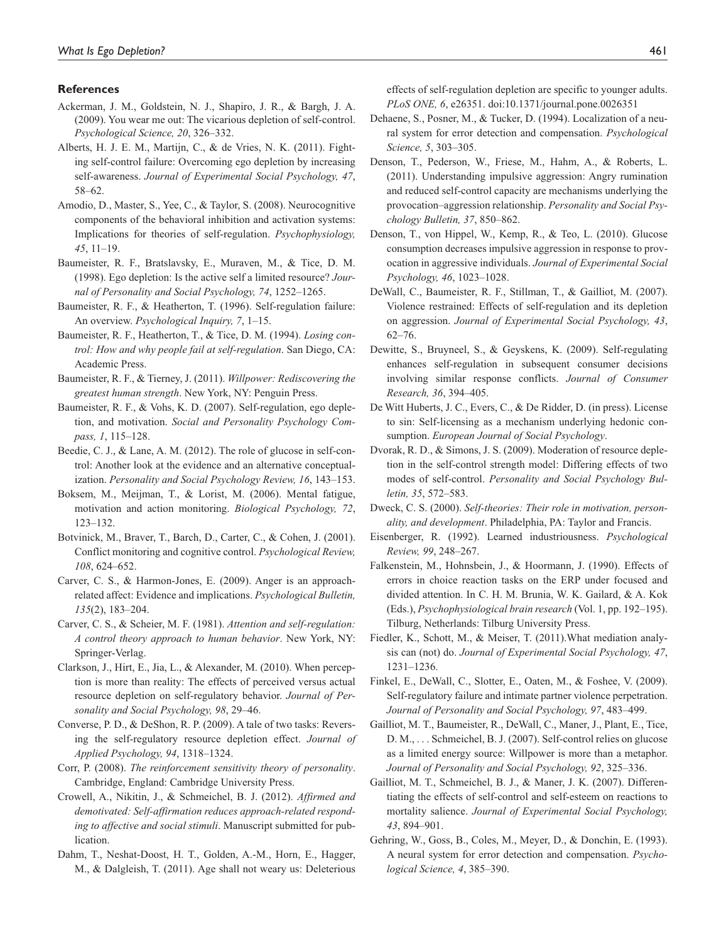#### **References**

- Ackerman, J. M., Goldstein, N. J., Shapiro, J. R., & Bargh, J. A. (2009). You wear me out: The vicarious depletion of self-control. *Psychological Science, 20*, 326–332.
- Alberts, H. J. E. M., Martijn, C., & de Vries, N. K. (2011). Fighting self-control failure: Overcoming ego depletion by increasing self-awareness. *Journal of Experimental Social Psychology, 47*, 58–62.
- Amodio, D., Master, S., Yee, C., & Taylor, S. (2008). Neurocognitive components of the behavioral inhibition and activation systems: Implications for theories of self-regulation. *Psychophysiology, 45*, 11–19.
- Baumeister, R. F., Bratslavsky, E., Muraven, M., & Tice, D. M. (1998). Ego depletion: Is the active self a limited resource? *Journal of Personality and Social Psychology, 74*, 1252–1265.
- Baumeister, R. F., & Heatherton, T. (1996). Self-regulation failure: An overview. *Psychological Inquiry, 7*, 1–15.
- Baumeister, R. F., Heatherton, T., & Tice, D. M. (1994). *Losing control: How and why people fail at self-regulation*. San Diego, CA: Academic Press.
- Baumeister, R. F., & Tierney, J. (2011). *Willpower: Rediscovering the greatest human strength*. New York, NY: Penguin Press.
- Baumeister, R. F., & Vohs, K. D. (2007). Self-regulation, ego depletion, and motivation. *Social and Personality Psychology Compass, 1*, 115–128.
- Beedie, C. J., & Lane, A. M. (2012). The role of glucose in self-control: Another look at the evidence and an alternative conceptualization. *Personality and Social Psychology Review, 16*, 143–153.
- Boksem, M., Meijman, T., & Lorist, M. (2006). Mental fatigue, motivation and action monitoring. *Biological Psychology, 72*, 123–132.
- Botvinick, M., Braver, T., Barch, D., Carter, C., & Cohen, J. (2001). Conflict monitoring and cognitive control. *Psychological Review, 108*, 624–652.
- Carver, C. S., & Harmon-Jones, E. (2009). Anger is an approachrelated affect: Evidence and implications. *Psychological Bulletin, 135*(2), 183–204.
- Carver, C. S., & Scheier, M. F. (1981). *Attention and self-regulation: A control theory approach to human behavior*. New York, NY: Springer-Verlag.
- Clarkson, J., Hirt, E., Jia, L., & Alexander, M. (2010). When perception is more than reality: The effects of perceived versus actual resource depletion on self-regulatory behavior. *Journal of Personality and Social Psychology, 98*, 29–46.
- Converse, P. D., & DeShon, R. P. (2009). A tale of two tasks: Reversing the self-regulatory resource depletion effect. *Journal of Applied Psychology, 94*, 1318–1324.
- Corr, P. (2008). *The reinforcement sensitivity theory of personality*. Cambridge, England: Cambridge University Press.
- Crowell, A., Nikitin, J., & Schmeichel, B. J. (2012). *Affirmed and demotivated: Self-affirmation reduces approach-related responding to affective and social stimuli*. Manuscript submitted for publication.
- Dahm, T., Neshat-Doost, H. T., Golden, A.-M., Horn, E., Hagger, M., & Dalgleish, T. (2011). Age shall not weary us: Deleterious

effects of self-regulation depletion are specific to younger adults. *PLoS ONE, 6*, e26351. doi:10.1371/journal.pone.0026351

- Dehaene, S., Posner, M., & Tucker, D. (1994). Localization of a neural system for error detection and compensation. *Psychological Science, 5*, 303–305.
- Denson, T., Pederson, W., Friese, M., Hahm, A., & Roberts, L. (2011). Understanding impulsive aggression: Angry rumination and reduced self-control capacity are mechanisms underlying the provocation–aggression relationship. *Personality and Social Psychology Bulletin, 37*, 850–862.
- Denson, T., von Hippel, W., Kemp, R., & Teo, L. (2010). Glucose consumption decreases impulsive aggression in response to provocation in aggressive individuals. *Journal of Experimental Social Psychology, 46*, 1023–1028.
- DeWall, C., Baumeister, R. F., Stillman, T., & Gailliot, M. (2007). Violence restrained: Effects of self-regulation and its depletion on aggression. *Journal of Experimental Social Psychology, 43*, 62–76.
- Dewitte, S., Bruyneel, S., & Geyskens, K. (2009). Self-regulating enhances self-regulation in subsequent consumer decisions involving similar response conflicts. *Journal of Consumer Research, 36*, 394–405.
- De Witt Huberts, J. C., Evers, C., & De Ridder, D. (in press). License to sin: Self-licensing as a mechanism underlying hedonic consumption. *European Journal of Social Psychology*.
- Dvorak, R. D., & Simons, J. S. (2009). Moderation of resource depletion in the self-control strength model: Differing effects of two modes of self-control. *Personality and Social Psychology Bulletin, 35*, 572–583.
- Dweck, C. S. (2000). *Self-theories: Their role in motivation, personality, and development*. Philadelphia, PA: Taylor and Francis.
- Eisenberger, R. (1992). Learned industriousness. *Psychological Review, 99*, 248–267.
- Falkenstein, M., Hohnsbein, J., & Hoormann, J. (1990). Effects of errors in choice reaction tasks on the ERP under focused and divided attention. In C. H. M. Brunia, W. K. Gailard, & A. Kok (Eds.), *Psychophysiological brain research* (Vol. 1, pp. 192–195). Tilburg, Netherlands: Tilburg University Press.
- Fiedler, K., Schott, M., & Meiser, T. (2011).What mediation analysis can (not) do. *Journal of Experimental Social Psychology, 47*, 1231–1236.
- Finkel, E., DeWall, C., Slotter, E., Oaten, M., & Foshee, V. (2009). Self-regulatory failure and intimate partner violence perpetration. *Journal of Personality and Social Psychology, 97*, 483–499.
- Gailliot, M. T., Baumeister, R., DeWall, C., Maner, J., Plant, E., Tice, D. M., . . . Schmeichel, B. J. (2007). Self-control relies on glucose as a limited energy source: Willpower is more than a metaphor. *Journal of Personality and Social Psychology, 92*, 325–336.
- Gailliot, M. T., Schmeichel, B. J., & Maner, J. K. (2007). Differentiating the effects of self-control and self-esteem on reactions to mortality salience. *Journal of Experimental Social Psychology, 43*, 894–901.
- Gehring, W., Goss, B., Coles, M., Meyer, D., & Donchin, E. (1993). A neural system for error detection and compensation. *Psychological Science, 4*, 385–390.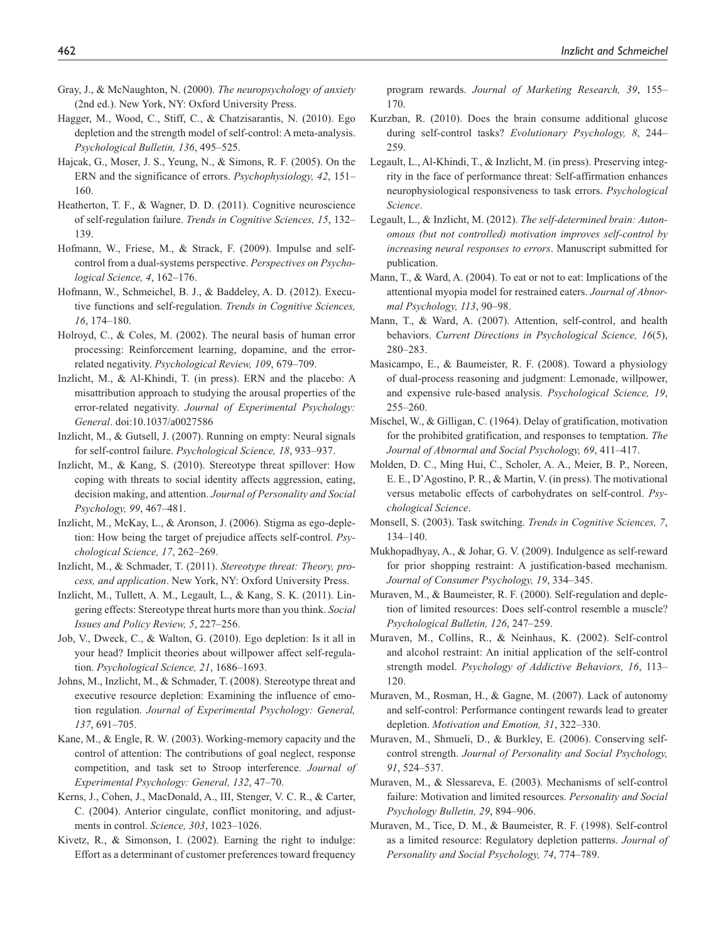- Gray, J., & McNaughton, N. (2000). *The neuropsychology of anxiety* (2nd ed.). New York, NY: Oxford University Press.
- Hagger, M., Wood, C., Stiff, C., & Chatzisarantis, N. (2010). Ego depletion and the strength model of self-control: A meta-analysis. *Psychological Bulletin, 136*, 495–525.
- Hajcak, G., Moser, J. S., Yeung, N., & Simons, R. F. (2005). On the ERN and the significance of errors. *Psychophysiology, 42*, 151– 160.
- Heatherton, T. F., & Wagner, D. D. (2011). Cognitive neuroscience of self-regulation failure. *Trends in Cognitive Sciences, 15*, 132– 139.
- Hofmann, W., Friese, M., & Strack, F. (2009). Impulse and selfcontrol from a dual-systems perspective. *Perspectives on Psychological Science, 4*, 162–176.
- Hofmann, W., Schmeichel, B. J., & Baddeley, A. D. (2012). Executive functions and self-regulation. *Trends in Cognitive Sciences, 16*, 174–180.
- Holroyd, C., & Coles, M. (2002). The neural basis of human error processing: Reinforcement learning, dopamine, and the errorrelated negativity. *Psychological Review, 109*, 679–709.
- Inzlicht, M., & Al-Khindi, T. (in press). ERN and the placebo: A misattribution approach to studying the arousal properties of the error-related negativity. *Journal of Experimental Psychology: General*. doi:10.1037/a0027586
- Inzlicht, M., & Gutsell, J. (2007). Running on empty: Neural signals for self-control failure. *Psychological Science, 18*, 933–937.
- Inzlicht, M., & Kang, S. (2010). Stereotype threat spillover: How coping with threats to social identity affects aggression, eating, decision making, and attention. *Journal of Personality and Social Psychology, 99*, 467–481.
- Inzlicht, M., McKay, L., & Aronson, J. (2006). Stigma as ego-depletion: How being the target of prejudice affects self-control. *Psychological Science, 17*, 262–269.
- Inzlicht, M., & Schmader, T. (2011). *Stereotype threat: Theory, process, and application*. New York, NY: Oxford University Press.
- Inzlicht, M., Tullett, A. M., Legault, L., & Kang, S. K. (2011). Lingering effects: Stereotype threat hurts more than you think. *Social Issues and Policy Review, 5*, 227–256.
- Job, V., Dweck, C., & Walton, G. (2010). Ego depletion: Is it all in your head? Implicit theories about willpower affect self-regulation. *Psychological Science, 21*, 1686–1693.
- Johns, M., Inzlicht, M., & Schmader, T. (2008). Stereotype threat and executive resource depletion: Examining the influence of emotion regulation. *Journal of Experimental Psychology: General, 137*, 691–705.
- Kane, M., & Engle, R. W. (2003). Working-memory capacity and the control of attention: The contributions of goal neglect, response competition, and task set to Stroop interference. *Journal of Experimental Psychology: General, 132*, 47–70.
- Kerns, J., Cohen, J., MacDonald, A., III, Stenger, V. C. R., & Carter, C. (2004). Anterior cingulate, conflict monitoring, and adjustments in control. *Science, 303*, 1023–1026.
- Kivetz, R., & Simonson, I. (2002). Earning the right to indulge: Effort as a determinant of customer preferences toward frequency

program rewards. *Journal of Marketing Research, 39*, 155– 170.

- Kurzban, R. (2010). Does the brain consume additional glucose during self-control tasks? *Evolutionary Psychology, 8*, 244– 259.
- Legault, L., Al-Khindi, T., & Inzlicht, M. (in press). Preserving integrity in the face of performance threat: Self-affirmation enhances neurophysiological responsiveness to task errors. *Psychological Science*.
- Legault, L., & Inzlicht, M. (2012). *The self-determined brain: Autonomous (but not controlled) motivation improves self-control by increasing neural responses to errors*. Manuscript submitted for publication.
- Mann, T., & Ward, A. (2004). To eat or not to eat: Implications of the attentional myopia model for restrained eaters. *Journal of Abnormal Psychology, 113*, 90–98.
- Mann, T., & Ward, A. (2007). Attention, self-control, and health behaviors. *Current Directions in Psychological Science, 16*(5), 280–283.
- Masicampo, E., & Baumeister, R. F. (2008). Toward a physiology of dual-process reasoning and judgment: Lemonade, willpower, and expensive rule-based analysis. *Psychological Science, 19*, 255–260.
- Mischel, W., & Gilligan, C. (1964). Delay of gratification, motivation for the prohibited gratification, and responses to temptation. *The Journal of Abnormal and Social Psychology, 69*, 411–417.
- Molden, D. C., Ming Hui, C., Scholer, A. A., Meier, B. P., Noreen, E. E., D'Agostino, P. R., & Martin, V. (in press). The motivational versus metabolic effects of carbohydrates on self-control. *Psychological Science*.
- Monsell, S. (2003). Task switching. *Trends in Cognitive Sciences, 7*, 134–140.
- Mukhopadhyay, A., & Johar, G. V. (2009). Indulgence as self-reward for prior shopping restraint: A justification-based mechanism. *Journal of Consumer Psychology, 19*, 334–345.
- Muraven, M., & Baumeister, R. F. (2000). Self-regulation and depletion of limited resources: Does self-control resemble a muscle? *Psychological Bulletin, 126*, 247–259.
- Muraven, M., Collins, R., & Neinhaus, K. (2002). Self-control and alcohol restraint: An initial application of the self-control strength model. *Psychology of Addictive Behaviors, 16*, 113– 120.
- Muraven, M., Rosman, H., & Gagne, M. (2007). Lack of autonomy and self-control: Performance contingent rewards lead to greater depletion. *Motivation and Emotion, 31*, 322–330.
- Muraven, M., Shmueli, D., & Burkley, E. (2006). Conserving selfcontrol strength. *Journal of Personality and Social Psychology, 91*, 524–537.
- Muraven, M., & Slessareva, E. (2003). Mechanisms of self-control failure: Motivation and limited resources. *Personality and Social Psychology Bulletin, 29*, 894–906.
- Muraven, M., Tice, D. M., & Baumeister, R. F. (1998). Self-control as a limited resource: Regulatory depletion patterns. *Journal of Personality and Social Psychology, 74*, 774–789.